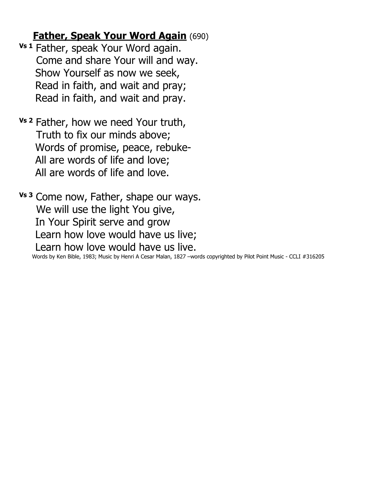## **Father, Speak Your Word Again** (690)

- **Vs 1** Father, speak Your Word again. Come and share Your will and way. Show Yourself as now we seek, Read in faith, and wait and pray; Read in faith, and wait and pray.
- **Vs 2** Father, how we need Your truth, Truth to fix our minds above; Words of promise, peace, rebuke- All are words of life and love; All are words of life and love.

**Vs 3** Come now, Father, shape our ways. We will use the light You give, In Your Spirit serve and grow Learn how love would have us live; Learn how love would have us live.

Words by Ken Bible, 1983; Music by Henri A Cesar Malan, 1827 –words copyrighted by Pilot Point Music - CCLI #316205